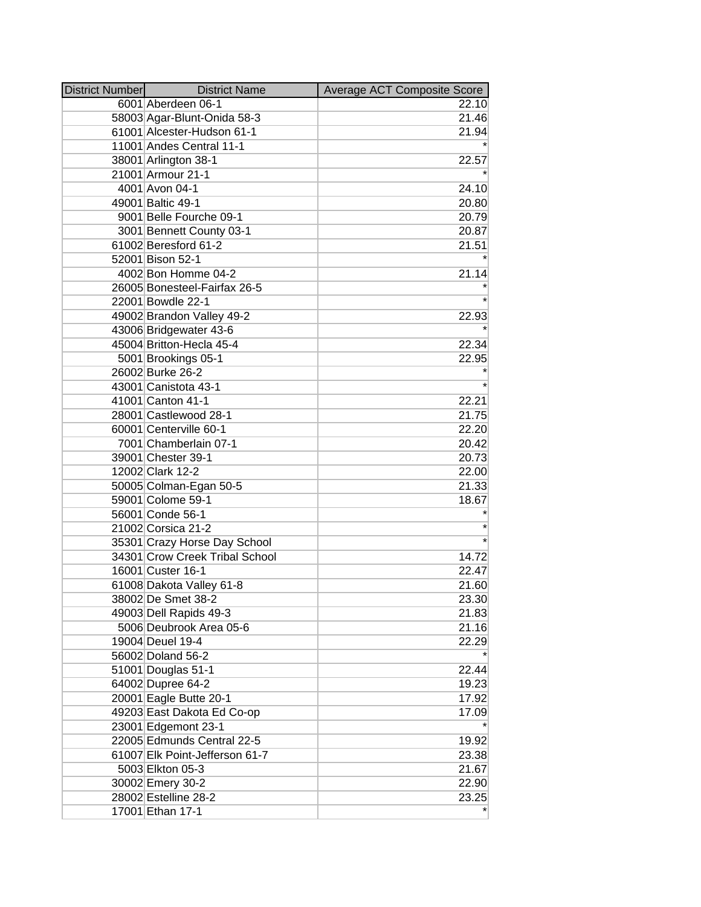| <b>District Number</b> | <b>District Name</b>           | Average ACT Composite Score |
|------------------------|--------------------------------|-----------------------------|
|                        | 6001 Aberdeen 06-1             | 22.10                       |
|                        | 58003 Agar-Blunt-Onida 58-3    | 21.46                       |
|                        | 61001 Alcester-Hudson 61-1     | 21.94                       |
|                        | 11001 Andes Central 11-1       |                             |
|                        | 38001 Arlington 38-1           | 22.57                       |
|                        | 21001 Armour 21-1              |                             |
|                        | 4001 Avon 04-1                 | 24.10                       |
|                        | 49001 Baltic 49-1              | 20.80                       |
|                        | 9001 Belle Fourche 09-1        | 20.79                       |
|                        | 3001 Bennett County 03-1       | 20.87                       |
|                        | 61002 Beresford 61-2           | 21.51                       |
|                        | 52001 Bison 52-1               |                             |
|                        | 4002 Bon Homme 04-2            | 21.14                       |
|                        | 26005 Bonesteel-Fairfax 26-5   |                             |
|                        | 22001 Bowdle 22-1              |                             |
|                        | 49002 Brandon Valley 49-2      | 22.93                       |
|                        | 43006 Bridgewater 43-6         |                             |
|                        | 45004 Britton-Hecla 45-4       | 22.34                       |
|                        | 5001 Brookings 05-1            | 22.95                       |
|                        | 26002 Burke 26-2               |                             |
|                        | 43001 Canistota 43-1           |                             |
|                        | 41001 Canton 41-1              | 22.21                       |
|                        | 28001 Castlewood 28-1          | 21.75                       |
|                        | 60001 Centerville 60-1         | 22.20                       |
|                        | 7001 Chamberlain 07-1          | 20.42                       |
|                        | 39001 Chester 39-1             | 20.73                       |
|                        | 12002 Clark 12-2               | 22.00                       |
|                        | 50005 Colman-Egan 50-5         | 21.33                       |
|                        | 59001 Colome 59-1              | 18.67                       |
|                        | 56001 Conde 56-1               |                             |
|                        | 21002 Corsica 21-2             |                             |
|                        | 35301 Crazy Horse Day School   |                             |
|                        | 34301 Crow Creek Tribal School | 14.72                       |
|                        | 16001 Custer 16-1              | 22.47                       |
|                        | 61008 Dakota Valley 61-8       | 21.60                       |
|                        | 38002 De Smet 38-2             | 23.30                       |
|                        | 49003 Dell Rapids 49-3         | 21.83                       |
|                        | 5006 Deubrook Area 05-6        | 21.16                       |
|                        | 19004 Deuel 19-4               | 22.29                       |
|                        | 56002 Doland 56-2              |                             |
|                        | 51001 Douglas 51-1             | 22.44                       |
|                        | 64002 Dupree 64-2              | 19.23                       |
|                        | 20001 Eagle Butte 20-1         | 17.92                       |
|                        | 49203 East Dakota Ed Co-op     | 17.09                       |
|                        | 23001 Edgemont 23-1            |                             |
|                        | 22005 Edmunds Central 22-5     | 19.92                       |
|                        | 61007 Elk Point-Jefferson 61-7 | 23.38                       |
|                        | 5003 Elkton 05-3               | 21.67                       |
|                        | 30002 Emery 30-2               | 22.90                       |
|                        | 28002 Estelline 28-2           | 23.25                       |
|                        | 17001 Ethan 17-1               |                             |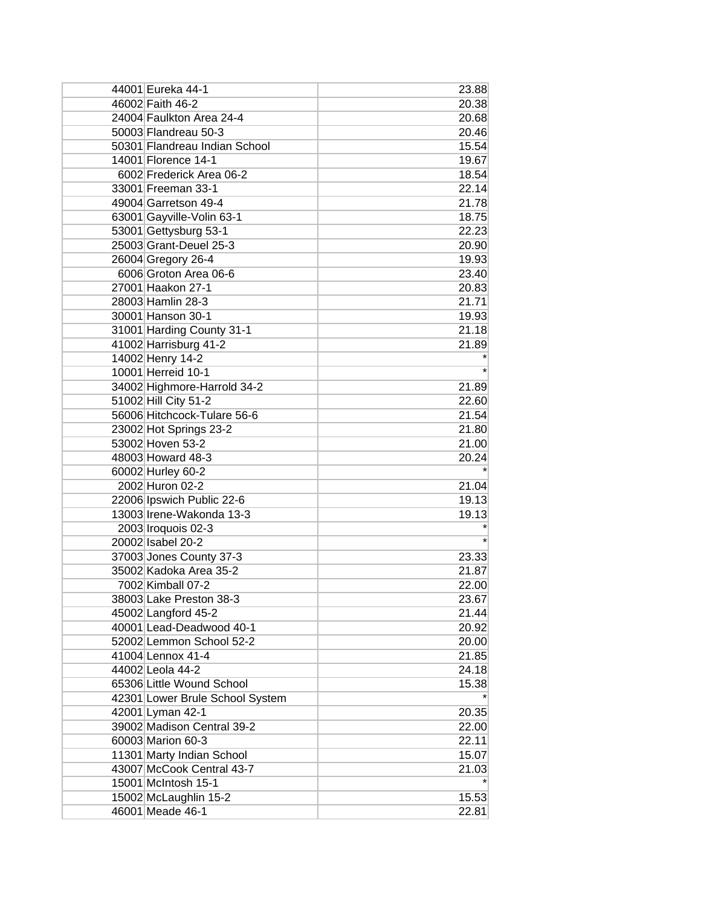| 44001 Eureka 44-1               | 23.88 |
|---------------------------------|-------|
| 46002 Faith 46-2                | 20.38 |
| 24004 Faulkton Area 24-4        | 20.68 |
| 50003 Flandreau 50-3            | 20.46 |
| 50301 Flandreau Indian School   | 15.54 |
| 14001 Florence 14-1             | 19.67 |
| 6002 Frederick Area 06-2        | 18.54 |
| 33001 Freeman 33-1              | 22.14 |
| 49004 Garretson 49-4            | 21.78 |
| 63001 Gayville-Volin 63-1       | 18.75 |
| 53001 Gettysburg 53-1           | 22.23 |
| 25003 Grant-Deuel 25-3          | 20.90 |
| 26004 Gregory 26-4              | 19.93 |
| 6006 Groton Area 06-6           | 23.40 |
| 27001 Haakon 27-1               | 20.83 |
| 28003 Hamlin 28-3               | 21.71 |
| 30001 Hanson 30-1               | 19.93 |
| 31001 Harding County 31-1       | 21.18 |
| 41002 Harrisburg 41-2           | 21.89 |
| 14002 Henry 14-2                |       |
| 10001 Herreid 10-1              |       |
| 34002 Highmore-Harrold 34-2     | 21.89 |
| 51002 Hill City 51-2            | 22.60 |
| 56006 Hitchcock-Tulare 56-6     | 21.54 |
| 23002 Hot Springs 23-2          | 21.80 |
| 53002 Hoven 53-2                | 21.00 |
| 48003 Howard 48-3               | 20.24 |
| 60002 Hurley 60-2               |       |
| 2002 Huron 02-2                 | 21.04 |
| 22006 Ipswich Public 22-6       | 19.13 |
| 13003 Irene-Wakonda 13-3        | 19.13 |
| 2003 Iroquois 02-3              |       |
| 20002 Isabel 20-2               |       |
| 37003 Jones County 37-3         | 23.33 |
| 35002 Kadoka Area 35-2          | 21.87 |
| 7002 Kimball 07-2               | 22.00 |
| 38003 Lake Preston 38-3         | 23.67 |
| 45002 Langford 45-2             | 21.44 |
| 40001 Lead-Deadwood 40-1        | 20.92 |
| 52002 Lemmon School 52-2        | 20.00 |
| 41004 Lennox 41-4               | 21.85 |
| 44002 Leola 44-2                | 24.18 |
| 65306 Little Wound School       | 15.38 |
| 42301 Lower Brule School System |       |
| 42001 Lyman 42-1                | 20.35 |
| 39002 Madison Central 39-2      | 22.00 |
| 60003 Marion 60-3               | 22.11 |
| 11301 Marty Indian School       | 15.07 |
| 43007 McCook Central 43-7       | 21.03 |
| 15001 McIntosh 15-1             |       |
| 15002 McLaughlin 15-2           | 15.53 |
| 46001 Meade 46-1                | 22.81 |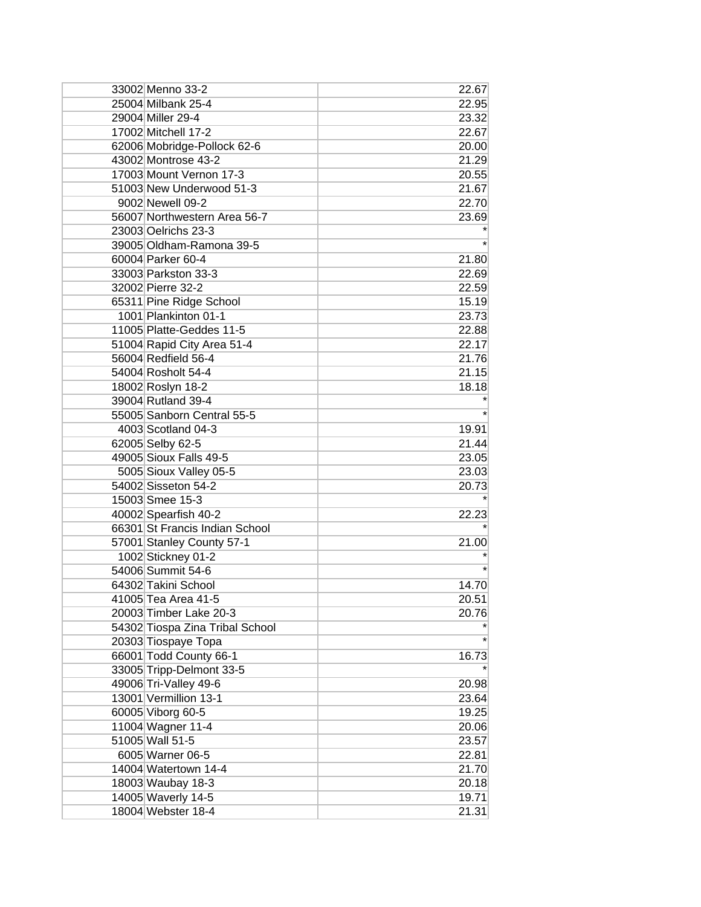| 33002 Menno 33-2                | 22.67   |
|---------------------------------|---------|
| 25004 Milbank 25-4              | 22.95   |
| 29004 Miller 29-4               | 23.32   |
| 17002 Mitchell 17-2             | 22.67   |
| 62006 Mobridge-Pollock 62-6     | 20.00   |
| 43002 Montrose 43-2             | 21.29   |
| 17003 Mount Vernon 17-3         | 20.55   |
| 51003 New Underwood 51-3        | 21.67   |
| 9002 Newell 09-2                | 22.70   |
| 56007 Northwestern Area 56-7    | 23.69   |
| 23003 Oelrichs 23-3             |         |
| 39005 Oldham-Ramona 39-5        |         |
| 60004 Parker 60-4               | 21.80   |
| 33003 Parkston 33-3             | 22.69   |
| 32002 Pierre 32-2               | 22.59   |
| 65311 Pine Ridge School         | 15.19   |
| 1001 Plankinton 01-1            | 23.73   |
| 11005 Platte-Geddes 11-5        | 22.88   |
| 51004 Rapid City Area 51-4      | 22.17   |
| 56004 Redfield 56-4             | 21.76   |
| 54004 Rosholt 54-4              | 21.15   |
| 18002 Roslyn 18-2               | 18.18   |
| 39004 Rutland 39-4              |         |
| 55005 Sanborn Central 55-5      |         |
| 4003 Scotland 04-3              | 19.91   |
| 62005 Selby 62-5                | 21.44   |
| 49005 Sioux Falls 49-5          | 23.05   |
| 5005 Sioux Valley 05-5          | 23.03   |
| 54002 Sisseton 54-2             | 20.73   |
| 15003 Smee 15-3                 |         |
| 40002 Spearfish 40-2            | 22.23   |
| 66301 St Francis Indian School  |         |
| 57001 Stanley County 57-1       | 21.00   |
| 1002 Stickney 01-2              |         |
| 54006 Summit 54-6               |         |
| 64302 Takini School             | 14.70   |
| 41005 Tea Area 41-5             | 20.51   |
| 20003 Timber Lake 20-3          | 20.76   |
| 54302 Tiospa Zina Tribal School |         |
| 20303 Tiospaye Topa             | $\star$ |
| 66001 Todd County 66-1          | 16.73   |
| 33005 Tripp-Delmont 33-5        |         |
| 49006 Tri-Valley 49-6           | 20.98   |
| 13001 Vermillion 13-1           | 23.64   |
| 60005 Viborg 60-5               | 19.25   |
| 11004 Wagner 11-4               | 20.06   |
| 51005 Wall 51-5                 | 23.57   |
| 6005 Warner 06-5                | 22.81   |
| 14004 Watertown 14-4            | 21.70   |
|                                 |         |
| 18003 Waubay 18-3               | 20.18   |
| 14005 Waverly 14-5              | 19.71   |
| 18004 Webster 18-4              | 21.31   |